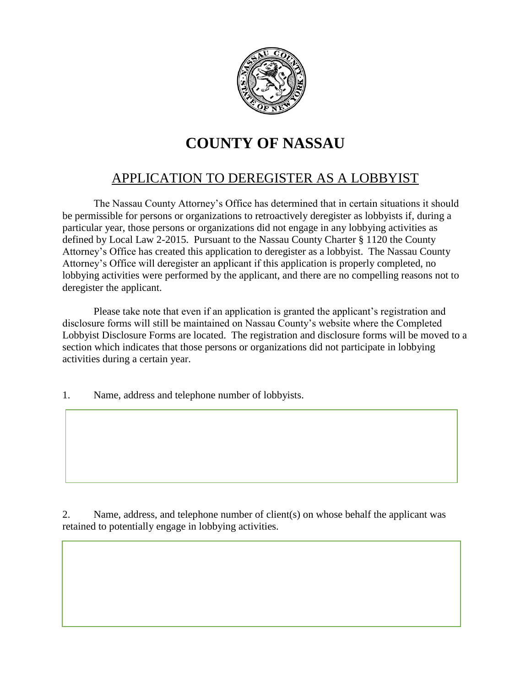

## **COUNTY OF NASSAU**

## APPLICATION TO DEREGISTER AS A LOBBYIST

The Nassau County Attorney's Office has determined that in certain situations it should be permissible for persons or organizations to retroactively deregister as lobbyists if, during a particular year, those persons or organizations did not engage in any lobbying activities as defined by Local Law 2-2015. Pursuant to the Nassau County Charter § 1120 the County Attorney's Office has created this application to deregister as a lobbyist. The Nassau County Attorney's Office will deregister an applicant if this application is properly completed, no lobbying activities were performed by the applicant, and there are no compelling reasons not to deregister the applicant.

Please take note that even if an application is granted the applicant's registration and disclosure forms will still be maintained on Nassau County's website where the Completed Lobbyist Disclosure Forms are located. The registration and disclosure forms will be moved to a section which indicates that those persons or organizations did not participate in lobbying activities during a certain year.

1. Name, address and telephone number of lobbyists.

2. Name, address, and telephone number of client(s) on whose behalf the applicant was retained to potentially engage in lobbying activities.